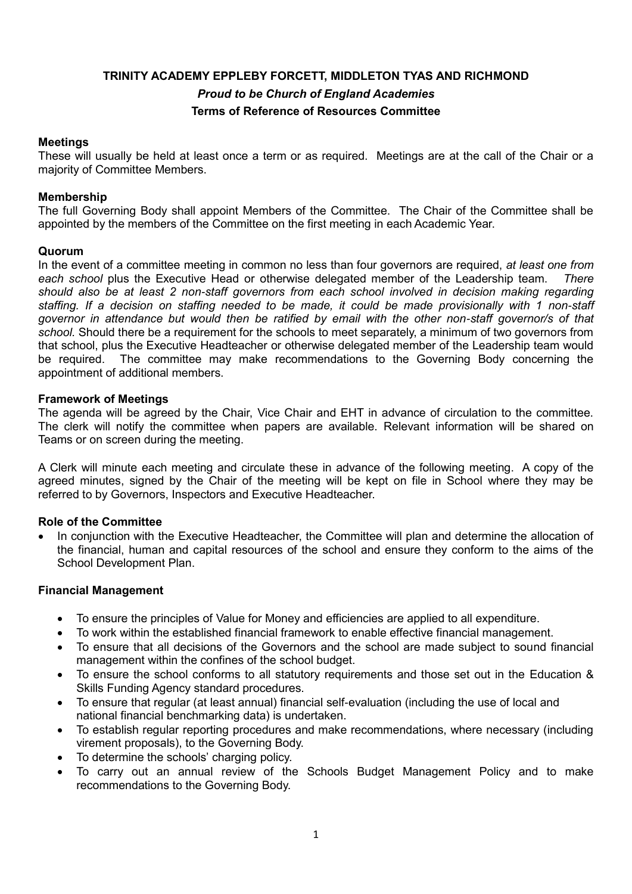# **TRINITY ACADEMY EPPLEBY FORCETT, MIDDLETON TYAS AND RICHMOND** *Proud to be Church of England Academies* **Terms of Reference of Resources Committee**

# **Meetings**

These will usually be held at least once a term or as required. Meetings are at the call of the Chair or a majority of Committee Members.

# **Membership**

The full Governing Body shall appoint Members of the Committee. The Chair of the Committee shall be appointed by the members of the Committee on the first meeting in each Academic Year.

# **Quorum**

In the event of a committee meeting in common no less than four governors are required, *at least one from each school* plus the Executive Head or otherwise delegated member of the Leadership team. *There should also be at least 2 non-staff governors from each school involved in decision making regarding staffing. If a decision on staffing needed to be made, it could be made provisionally with 1 non-staff governor in attendance but would then be ratified by email with the other non-staff governor/s of that school.* Should there be a requirement for the schools to meet separately, a minimum of two governors from that school, plus the Executive Headteacher or otherwise delegated member of the Leadership team would be required. The committee may make recommendations to the Governing Body concerning the appointment of additional members.

# **Framework of Meetings**

The agenda will be agreed by the Chair, Vice Chair and EHT in advance of circulation to the committee. The clerk will notify the committee when papers are available. Relevant information will be shared on Teams or on screen during the meeting.

A Clerk will minute each meeting and circulate these in advance of the following meeting. A copy of the agreed minutes, signed by the Chair of the meeting will be kept on file in School where they may be referred to by Governors, Inspectors and Executive Headteacher.

#### **Role of the Committee**

 In conjunction with the Executive Headteacher, the Committee will plan and determine the allocation of the financial, human and capital resources of the school and ensure they conform to the aims of the School Development Plan.

#### **Financial Management**

- To ensure the principles of Value for Money and efficiencies are applied to all expenditure.
- To work within the established financial framework to enable effective financial management.
- To ensure that all decisions of the Governors and the school are made subject to sound financial management within the confines of the school budget.
- To ensure the school conforms to all statutory requirements and those set out in the Education & Skills Funding Agency standard procedures.
- To ensure that regular (at least annual) financial self-evaluation (including the use of local and national financial benchmarking data) is undertaken.
- To establish regular reporting procedures and make recommendations, where necessary (including virement proposals), to the Governing Body.
- To determine the schools' charging policy.
- To carry out an annual review of the Schools Budget Management Policy and to make recommendations to the Governing Body.